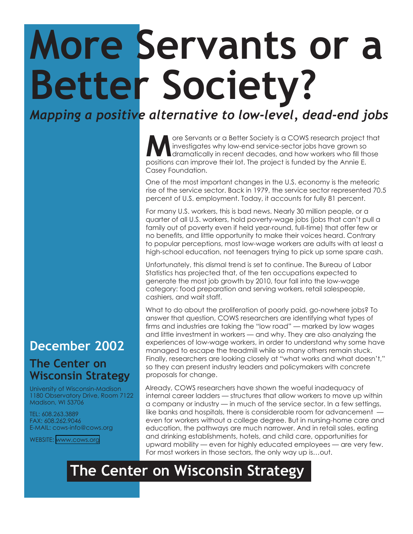## **More Servants or a Better Society?**

*Mapping a positive alternative to low-level, dead-end jobs*

**M** ore Servants or a Better Society is a COWS research project that<br>
dramatically in recent decades, and how workers who fill those<br>
positions can improve their lot. The project is funded by the Appie E investigates why low-end service-sector jobs have grown so positions can improve their lot. The project is funded by the Annie E. Casey Foundation.

One of the most important changes in the U.S. economy is the meteoric rise of the service sector. Back in 1979, the service sector represented 70.5 percent of U.S. employment. Today, it accounts for fully 81 percent.

For many U.S. workers, this is bad news. Nearly 30 million people, or a quarter of all U.S. workers, hold poverty-wage jobs (jobs that can't pull a family out of poverty even if held year-round, full-time) that offer few or no benefits, and little opportunity to make their voices heard. Contrary to popular perceptions, most low-wage workers are adults with at least a high-school education, not teenagers trying to pick up some spare cash.

Unfortunately, this dismal trend is set to continue. The Bureau of Labor Statistics has projected that, of the ten occupations expected to generate the most job growth by 2010, four fall into the low-wage category: food preparation and serving workers, retail salespeople, cashiers, and wait staff.

What to do about the proliferation of poorly paid, go-nowhere jobs? To answer that question, COWS researchers are identifying what types of firms and industries are taking the "low road" — marked by low wages and little investment in workers — and why. They are also analyzing the experiences of low-wage workers, in order to understand why some have managed to escape the treadmill while so many others remain stuck. Finally, researchers are looking closely at "what works and what doesn't," so they can present industry leaders and policymakers with concrete proposals for change.

Already, COWS researchers have shown the woeful inadequacy of internal career ladders — structures that allow workers to move up within a company or industry — in much of the service sector. In a few settings, like banks and hospitals, there is considerable room for advancement even for workers without a college degree. But in nursing-home care and education, the pathways are much narrower. And in retail sales, eating and drinking establishments, hotels, and child care, opportunities for upward mobility — even for highly educated employees — are very few. For most workers in those sectors, the only way up is…out.

## **The Center on Wisconsin Strategy**

## **December 2002**

## **The Center on Wisconsin Strategy**

University of Wisconsin-Madison 1180 Observatory Drive, Room 7122 Madison, WI 53706

TEL: 608.263.3889 FAX: 608.262.9046 E-MAIL: cows-info@cows.org

WEBSITE: <www.cows.org>